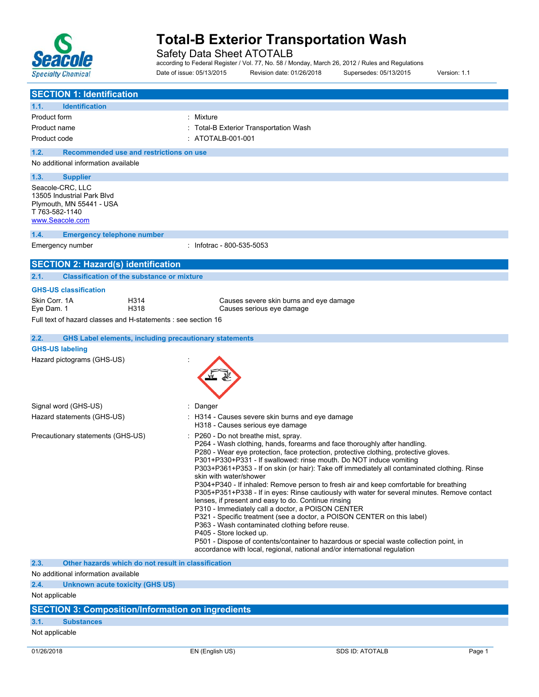

Safety Data Sheet ATOTALB

according to Federal Register / Vol. 77, No. 58 / Monday, March 26, 2012 / Rules and Regulations Date of issue: 05/13/2015 Revision date: 01/26/2018 Supersedes: 05/13/2015 Version: 1.1

| <b>SECTION 1: Identification</b>                                                                                                           |                                                                                                                                                                                                                                                                                                                                                                                                                                                                                                                                                                                                                                                                                                                                                                                                                                                                                                                                                                                                                                               |  |  |  |  |
|--------------------------------------------------------------------------------------------------------------------------------------------|-----------------------------------------------------------------------------------------------------------------------------------------------------------------------------------------------------------------------------------------------------------------------------------------------------------------------------------------------------------------------------------------------------------------------------------------------------------------------------------------------------------------------------------------------------------------------------------------------------------------------------------------------------------------------------------------------------------------------------------------------------------------------------------------------------------------------------------------------------------------------------------------------------------------------------------------------------------------------------------------------------------------------------------------------|--|--|--|--|
| <b>Identification</b><br>1.1.                                                                                                              |                                                                                                                                                                                                                                                                                                                                                                                                                                                                                                                                                                                                                                                                                                                                                                                                                                                                                                                                                                                                                                               |  |  |  |  |
| Product form                                                                                                                               | : Mixture                                                                                                                                                                                                                                                                                                                                                                                                                                                                                                                                                                                                                                                                                                                                                                                                                                                                                                                                                                                                                                     |  |  |  |  |
| Product name                                                                                                                               | : Total-B Exterior Transportation Wash                                                                                                                                                                                                                                                                                                                                                                                                                                                                                                                                                                                                                                                                                                                                                                                                                                                                                                                                                                                                        |  |  |  |  |
| Product code                                                                                                                               | : ATOTALB-001-001                                                                                                                                                                                                                                                                                                                                                                                                                                                                                                                                                                                                                                                                                                                                                                                                                                                                                                                                                                                                                             |  |  |  |  |
| 1.2.<br>Recommended use and restrictions on use                                                                                            |                                                                                                                                                                                                                                                                                                                                                                                                                                                                                                                                                                                                                                                                                                                                                                                                                                                                                                                                                                                                                                               |  |  |  |  |
| No additional information available                                                                                                        |                                                                                                                                                                                                                                                                                                                                                                                                                                                                                                                                                                                                                                                                                                                                                                                                                                                                                                                                                                                                                                               |  |  |  |  |
| 1.3.<br><b>Supplier</b><br>Seacole-CRC, LLC<br>13505 Industrial Park Blvd<br>Plymouth, MN 55441 - USA<br>T 763-582-1140<br>www.Seacole.com |                                                                                                                                                                                                                                                                                                                                                                                                                                                                                                                                                                                                                                                                                                                                                                                                                                                                                                                                                                                                                                               |  |  |  |  |
| 1.4.<br><b>Emergency telephone number</b>                                                                                                  |                                                                                                                                                                                                                                                                                                                                                                                                                                                                                                                                                                                                                                                                                                                                                                                                                                                                                                                                                                                                                                               |  |  |  |  |
| Emergency number                                                                                                                           | : Infotrac - 800-535-5053                                                                                                                                                                                                                                                                                                                                                                                                                                                                                                                                                                                                                                                                                                                                                                                                                                                                                                                                                                                                                     |  |  |  |  |
|                                                                                                                                            |                                                                                                                                                                                                                                                                                                                                                                                                                                                                                                                                                                                                                                                                                                                                                                                                                                                                                                                                                                                                                                               |  |  |  |  |
| <b>SECTION 2: Hazard(s) identification</b><br><b>Classification of the substance or mixture</b>                                            |                                                                                                                                                                                                                                                                                                                                                                                                                                                                                                                                                                                                                                                                                                                                                                                                                                                                                                                                                                                                                                               |  |  |  |  |
| 2.1.                                                                                                                                       |                                                                                                                                                                                                                                                                                                                                                                                                                                                                                                                                                                                                                                                                                                                                                                                                                                                                                                                                                                                                                                               |  |  |  |  |
| <b>GHS-US classification</b><br>Skin Corr. 1A<br>H314                                                                                      |                                                                                                                                                                                                                                                                                                                                                                                                                                                                                                                                                                                                                                                                                                                                                                                                                                                                                                                                                                                                                                               |  |  |  |  |
| H318<br>Eye Dam. 1                                                                                                                         | Causes severe skin burns and eye damage<br>Causes serious eye damage                                                                                                                                                                                                                                                                                                                                                                                                                                                                                                                                                                                                                                                                                                                                                                                                                                                                                                                                                                          |  |  |  |  |
| Full text of hazard classes and H-statements : see section 16                                                                              |                                                                                                                                                                                                                                                                                                                                                                                                                                                                                                                                                                                                                                                                                                                                                                                                                                                                                                                                                                                                                                               |  |  |  |  |
|                                                                                                                                            |                                                                                                                                                                                                                                                                                                                                                                                                                                                                                                                                                                                                                                                                                                                                                                                                                                                                                                                                                                                                                                               |  |  |  |  |
| <b>GHS Label elements, including precautionary statements</b><br>2.2.<br><b>GHS-US labeling</b>                                            |                                                                                                                                                                                                                                                                                                                                                                                                                                                                                                                                                                                                                                                                                                                                                                                                                                                                                                                                                                                                                                               |  |  |  |  |
| Hazard pictograms (GHS-US)                                                                                                                 |                                                                                                                                                                                                                                                                                                                                                                                                                                                                                                                                                                                                                                                                                                                                                                                                                                                                                                                                                                                                                                               |  |  |  |  |
| Signal word (GHS-US)                                                                                                                       | : Danger                                                                                                                                                                                                                                                                                                                                                                                                                                                                                                                                                                                                                                                                                                                                                                                                                                                                                                                                                                                                                                      |  |  |  |  |
| Hazard statements (GHS-US)                                                                                                                 | : H314 - Causes severe skin burns and eye damage<br>H318 - Causes serious eye damage                                                                                                                                                                                                                                                                                                                                                                                                                                                                                                                                                                                                                                                                                                                                                                                                                                                                                                                                                          |  |  |  |  |
| Precautionary statements (GHS-US)                                                                                                          | P260 - Do not breathe mist, spray.<br>P264 - Wash clothing, hands, forearms and face thoroughly after handling.<br>P280 - Wear eye protection, face protection, protective clothing, protective gloves.<br>P301+P330+P331 - If swallowed: rinse mouth. Do NOT induce vomiting<br>P303+P361+P353 - If on skin (or hair): Take off immediately all contaminated clothing. Rinse<br>skin with water/shower<br>P304+P340 - If inhaled: Remove person to fresh air and keep comfortable for breathing<br>P305+P351+P338 - If in eyes: Rinse cautiously with water for several minutes. Remove contact<br>lenses, if present and easy to do. Continue rinsing<br>P310 - Immediately call a doctor, a POISON CENTER<br>P321 - Specific treatment (see a doctor, a POISON CENTER on this label)<br>P363 - Wash contaminated clothing before reuse.<br>P405 - Store locked up.<br>P501 - Dispose of contents/container to hazardous or special waste collection point, in<br>accordance with local, regional, national and/or international regulation |  |  |  |  |
| 2.3.<br>Other hazards which do not result in classification                                                                                |                                                                                                                                                                                                                                                                                                                                                                                                                                                                                                                                                                                                                                                                                                                                                                                                                                                                                                                                                                                                                                               |  |  |  |  |
| No additional information available                                                                                                        |                                                                                                                                                                                                                                                                                                                                                                                                                                                                                                                                                                                                                                                                                                                                                                                                                                                                                                                                                                                                                                               |  |  |  |  |
| 2.4.<br>Unknown acute toxicity (GHS US)<br>Not applicable                                                                                  |                                                                                                                                                                                                                                                                                                                                                                                                                                                                                                                                                                                                                                                                                                                                                                                                                                                                                                                                                                                                                                               |  |  |  |  |
|                                                                                                                                            |                                                                                                                                                                                                                                                                                                                                                                                                                                                                                                                                                                                                                                                                                                                                                                                                                                                                                                                                                                                                                                               |  |  |  |  |
| <b>SECTION 3: Composition/Information on ingredients</b>                                                                                   |                                                                                                                                                                                                                                                                                                                                                                                                                                                                                                                                                                                                                                                                                                                                                                                                                                                                                                                                                                                                                                               |  |  |  |  |
| 3.1.<br><b>Substances</b>                                                                                                                  |                                                                                                                                                                                                                                                                                                                                                                                                                                                                                                                                                                                                                                                                                                                                                                                                                                                                                                                                                                                                                                               |  |  |  |  |

Not applicable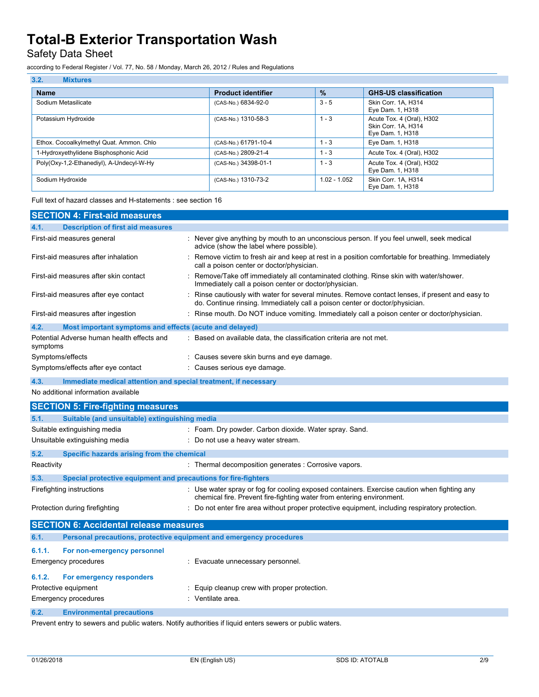Safety Data Sheet

according to Federal Register / Vol. 77, No. 58 / Monday, March 26, 2012 / Rules and Regulations

| 3.2.<br><b>Mixtures</b>                  |                           |                |                                                                      |
|------------------------------------------|---------------------------|----------------|----------------------------------------------------------------------|
| <b>Name</b>                              | <b>Product identifier</b> | $\frac{9}{6}$  | <b>GHS-US classification</b>                                         |
| Sodium Metasilicate                      | (CAS-No.) 6834-92-0       | $3 - 5$        | Skin Corr. 1A. H314<br>Eye Dam. 1, H318                              |
| Potassium Hydroxide                      | (CAS-No.) 1310-58-3       | $1 - 3$        | Acute Tox. 4 (Oral), H302<br>Skin Corr. 1A, H314<br>Eye Dam. 1, H318 |
| Ethox. Cocoalkylmethyl Quat. Ammon. Chlo | (CAS-No.) 61791-10-4      | 1 - 3          | Eye Dam. 1, H318                                                     |
| 1-Hydroxyethylidene Bisphosphonic Acid   | (CAS-No.) 2809-21-4       | $1 - 3$        | Acute Tox. 4 (Oral), H302                                            |
| Poly(Oxy-1,2-Ethanediyl), A-Undecyl-W-Hy | (CAS-No.) 34398-01-1      | $1 - 3$        | Acute Tox. 4 (Oral), H302<br>Eye Dam. 1, H318                        |
| Sodium Hydroxide                         | (CAS-No.) 1310-73-2       | $1.02 - 1.052$ | Skin Corr. 1A. H314<br>Eye Dam. 1, H318                              |

Full text of hazard classes and H-statements : see section 16

| <b>SECTION 4: First-aid measures</b>                                    |                                                                                                                                                                                 |  |  |  |  |  |
|-------------------------------------------------------------------------|---------------------------------------------------------------------------------------------------------------------------------------------------------------------------------|--|--|--|--|--|
| <b>Description of first aid measures</b><br>4.1.                        |                                                                                                                                                                                 |  |  |  |  |  |
| First-aid measures general                                              | : Never give anything by mouth to an unconscious person. If you feel unwell, seek medical<br>advice (show the label where possible).                                            |  |  |  |  |  |
| First-aid measures after inhalation                                     | : Remove victim to fresh air and keep at rest in a position comfortable for breathing. Immediately<br>call a poison center or doctor/physician.                                 |  |  |  |  |  |
| First-aid measures after skin contact                                   | : Remove/Take off immediately all contaminated clothing. Rinse skin with water/shower.<br>Immediately call a poison center or doctor/physician.                                 |  |  |  |  |  |
| First-aid measures after eye contact                                    | : Rinse cautiously with water for several minutes. Remove contact lenses, if present and easy to<br>do. Continue rinsing. Immediately call a poison center or doctor/physician. |  |  |  |  |  |
| First-aid measures after ingestion                                      | : Rinse mouth. Do NOT induce vomiting. Immediately call a poison center or doctor/physician.                                                                                    |  |  |  |  |  |
| 4.2.<br>Most important symptoms and effects (acute and delayed)         |                                                                                                                                                                                 |  |  |  |  |  |
| Potential Adverse human health effects and<br>symptoms                  | : Based on available data, the classification criteria are not met.                                                                                                             |  |  |  |  |  |
| Symptoms/effects                                                        | : Causes severe skin burns and eye damage.                                                                                                                                      |  |  |  |  |  |
| Symptoms/effects after eye contact                                      | : Causes serious eye damage.                                                                                                                                                    |  |  |  |  |  |
| 4.3.<br>Immediate medical attention and special treatment, if necessary |                                                                                                                                                                                 |  |  |  |  |  |
| No additional information available                                     |                                                                                                                                                                                 |  |  |  |  |  |
| <b>SECTION 5: Fire-fighting measures</b>                                |                                                                                                                                                                                 |  |  |  |  |  |
| 5.1.                                                                    | Suitable (and unsuitable) extinguishing media                                                                                                                                   |  |  |  |  |  |
| Suitable extinguishing media                                            | : Foam. Dry powder. Carbon dioxide. Water spray. Sand.                                                                                                                          |  |  |  |  |  |
|                                                                         |                                                                                                                                                                                 |  |  |  |  |  |

| Unsuitable extinguishing media |                                                                     | : Do not use a heavy water stream.                                                                                                                                   |  |  |  |
|--------------------------------|---------------------------------------------------------------------|----------------------------------------------------------------------------------------------------------------------------------------------------------------------|--|--|--|
| 5.2.                           | Specific hazards arising from the chemical                          |                                                                                                                                                                      |  |  |  |
| Reactivity                     |                                                                     | : Thermal decomposition generates : Corrosive vapors.                                                                                                                |  |  |  |
| 5.3.                           | Special protective equipment and precautions for fire-fighters      |                                                                                                                                                                      |  |  |  |
|                                | Firefighting instructions                                           | : Use water spray or fog for cooling exposed containers. Exercise caution when fighting any<br>chemical fire. Prevent fire-fighting water from entering environment. |  |  |  |
| Protection during firefighting |                                                                     | : Do not enter fire area without proper protective equipment, including respiratory protection.                                                                      |  |  |  |
|                                | <b>SECTION 6: Accidental release measures</b>                       |                                                                                                                                                                      |  |  |  |
| 6.1.                           | Personal precautions, protective equipment and emergency procedures |                                                                                                                                                                      |  |  |  |
| 611                            | For non-emergency personnel                                         |                                                                                                                                                                      |  |  |  |

| <b>U.L.L.</b> TVI HUITUINGINGIUV DUISUINGI<br>Emergency procedures | : Evacuate unnecessary personnel.            |  |  |  |  |
|--------------------------------------------------------------------|----------------------------------------------|--|--|--|--|
| For emergency responders<br>6.1.2.<br>Protective equipment         | : Equip cleanup crew with proper protection. |  |  |  |  |
| Emergency procedures                                               | : Ventilate area.                            |  |  |  |  |

# **6.2. Environmental precautions**

Prevent entry to sewers and public waters. Notify authorities if liquid enters sewers or public waters.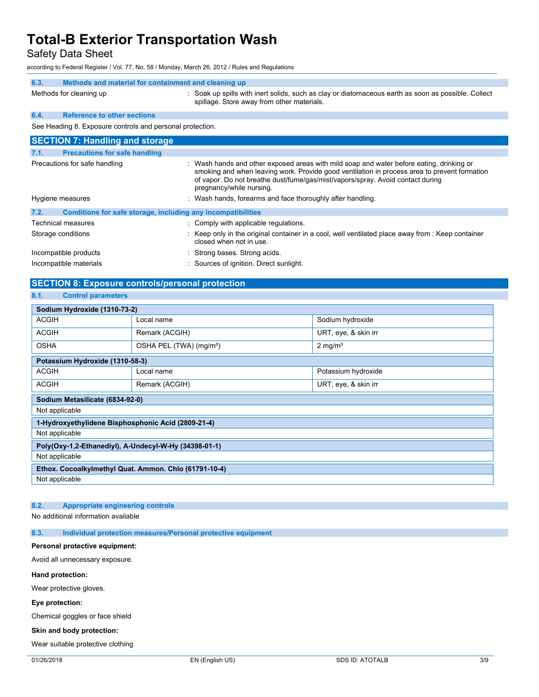Safety Data Sheet

according to Federal Register / Vol. 77, No. 58 / Monday, March 26, 2012 / Rules and Regulations

## **6.3. Methods and material for containment and cleaning up** Methods for cleaning up : Soak up spills with inert solids, such as clay or diatomaceous earth as soon as possible. Collect spillage. Store away from other materials.

# **6.4. Reference to other sections**

See Heading 8. Exposure controls and personal protection.

| <b>SECTION 7: Handling and storage</b>       |                                                                                                                                                                                                                                                                                                        |  |  |  |  |
|----------------------------------------------|--------------------------------------------------------------------------------------------------------------------------------------------------------------------------------------------------------------------------------------------------------------------------------------------------------|--|--|--|--|
| <b>Precautions for safe handling</b><br>7.1. |                                                                                                                                                                                                                                                                                                        |  |  |  |  |
| Precautions for safe handling                | : Wash hands and other exposed areas with mild soap and water before eating, drinking or<br>smoking and when leaving work. Provide good ventilation in process area to prevent formation<br>of vapor. Do not breathe dust/fume/gas/mist/vapors/spray. Avoid contact during<br>pregnancy/while nursing. |  |  |  |  |
| Hygiene measures                             | : Wash hands, forearms and face thoroughly after handling.                                                                                                                                                                                                                                             |  |  |  |  |
| 7.2.                                         | Conditions for safe storage, including any incompatibilities                                                                                                                                                                                                                                           |  |  |  |  |
| Technical measures                           | : Comply with applicable regulations.                                                                                                                                                                                                                                                                  |  |  |  |  |
| Storage conditions                           | $\therefore$ Keep only in the original container in a cool, well ventilated place away from $\therefore$ Keep container<br>closed when not in use.                                                                                                                                                     |  |  |  |  |
| Incompatible products                        | : Strong bases. Strong acids.                                                                                                                                                                                                                                                                          |  |  |  |  |
| Incompatible materials                       | : Sources of ignition. Direct sunlight.                                                                                                                                                                                                                                                                |  |  |  |  |

# **SECTION 8: Exposure controls/personal protection**

### **8.1. Control parameters**

| Sodium Hydroxide (1310-73-2)                          |                                     |                      |  |  |  |  |
|-------------------------------------------------------|-------------------------------------|----------------------|--|--|--|--|
| <b>ACGIH</b>                                          | Local name                          | Sodium hydroxide     |  |  |  |  |
| <b>ACGIH</b>                                          | Remark (ACGIH)                      | URT, eye, & skin irr |  |  |  |  |
| <b>OSHA</b>                                           | OSHA PEL (TWA) (mg/m <sup>3</sup> ) | $2 \text{ mg/m}^3$   |  |  |  |  |
| Potassium Hydroxide (1310-58-3)                       |                                     |                      |  |  |  |  |
| <b>ACGIH</b>                                          | Local name                          | Potassium hydroxide  |  |  |  |  |
| <b>ACGIH</b>                                          | Remark (ACGIH)                      | URT, eye, & skin irr |  |  |  |  |
| Sodium Metasilicate (6834-92-0)                       |                                     |                      |  |  |  |  |
| Not applicable                                        |                                     |                      |  |  |  |  |
| 1-Hydroxyethylidene Bisphosphonic Acid (2809-21-4)    |                                     |                      |  |  |  |  |
| Not applicable                                        |                                     |                      |  |  |  |  |
| Poly(Oxy-1,2-Ethanediyl), A-Undecyl-W-Hy (34398-01-1) |                                     |                      |  |  |  |  |
| Not applicable                                        |                                     |                      |  |  |  |  |
| Ethox. Cocoalkylmethyl Quat. Ammon. Chlo (61791-10-4) |                                     |                      |  |  |  |  |
| Not applicable                                        |                                     |                      |  |  |  |  |

### **8.2. Appropriate engineering controls**

No additional information available

**8.3. Individual protection measures/Personal protective equipment**

### **Personal protective equipment:**

Avoid all unnecessary exposure.

### **Hand protection:**

Wear protective gloves.

### **Eye protection:**

Chemical goggles or face shield

#### **Skin and body protection:**

Wear suitable protective clothing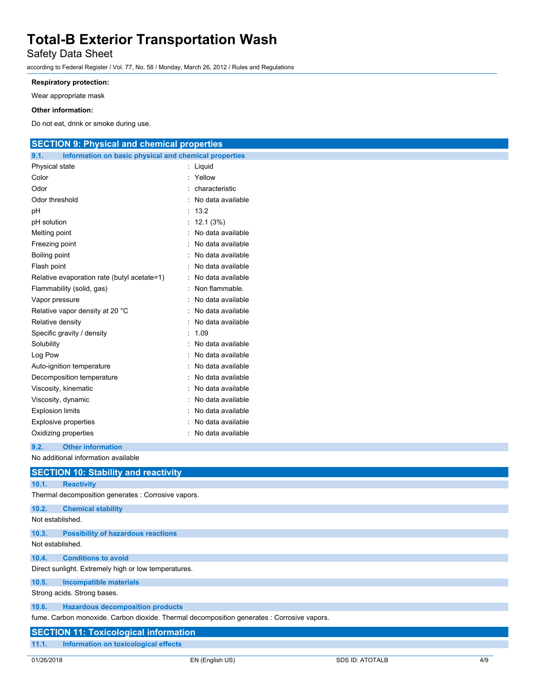# Safety Data Sheet

according to Federal Register / Vol. 77, No. 58 / Monday, March 26, 2012 / Rules and Regulations

## **Respiratory protection:**

Wear appropriate mask

### **Other information:**

Do not eat, drink or smoke during use.

# **SECTION 9: Physical and chemical properties**

| 9.1.<br>Information on basic physical and chemical properties |   |                   |  |  |
|---------------------------------------------------------------|---|-------------------|--|--|
| Physical state                                                |   | Liquid            |  |  |
| Color                                                         |   | Yellow            |  |  |
| Odor                                                          |   | characteristic    |  |  |
| Odor threshold                                                |   | No data available |  |  |
| рH                                                            |   | 13.2              |  |  |
| pH solution                                                   |   | 12.1(3%)          |  |  |
| Melting point                                                 |   | No data available |  |  |
| Freezing point                                                |   | No data available |  |  |
| Boiling point                                                 |   | No data available |  |  |
| Flash point                                                   |   | No data available |  |  |
| Relative evaporation rate (butyl acetate=1)                   | ÷ | No data available |  |  |
| Flammability (solid, gas)                                     |   | Non flammable.    |  |  |
| Vapor pressure                                                |   | No data available |  |  |
| Relative vapor density at 20 °C                               |   | No data available |  |  |
| Relative density                                              |   | No data available |  |  |
| Specific gravity / density                                    |   | 1.09              |  |  |
| Solubility                                                    |   | No data available |  |  |
| Log Pow                                                       |   | No data available |  |  |
| Auto-ignition temperature                                     |   | No data available |  |  |
| Decomposition temperature                                     |   | No data available |  |  |
| Viscosity, kinematic                                          |   | No data available |  |  |
| Viscosity, dynamic                                            |   | No data available |  |  |
| <b>Explosion limits</b>                                       |   | No data available |  |  |
| <b>Explosive properties</b>                                   |   | No data available |  |  |
| Oxidizing properties                                          |   | No data available |  |  |
|                                                               |   |                   |  |  |

### **9.2. Other information**

No additional information available

|                  | <b>SECTION 10: Stability and reactivity</b>                                                |
|------------------|--------------------------------------------------------------------------------------------|
| 10.1.            | <b>Reactivity</b>                                                                          |
|                  | Thermal decomposition generates : Corrosive vapors.                                        |
| 10.2.            | <b>Chemical stability</b>                                                                  |
| Not established. |                                                                                            |
| 10.3.            | <b>Possibility of hazardous reactions</b>                                                  |
| Not established. |                                                                                            |
| 10.4.            | <b>Conditions to avoid</b>                                                                 |
|                  | Direct sunlight. Extremely high or low temperatures.                                       |
| 10.5.            | <b>Incompatible materials</b>                                                              |
|                  | Strong acids. Strong bases.                                                                |
| 10.6.            | <b>Hazardous decomposition products</b>                                                    |
|                  | fume. Carbon monoxide. Carbon dioxide. Thermal decomposition generates : Corrosive vapors. |
|                  | <b>SECTION 11: Toxicological information</b>                                               |
| 11.1.            | Information on toxicological effects                                                       |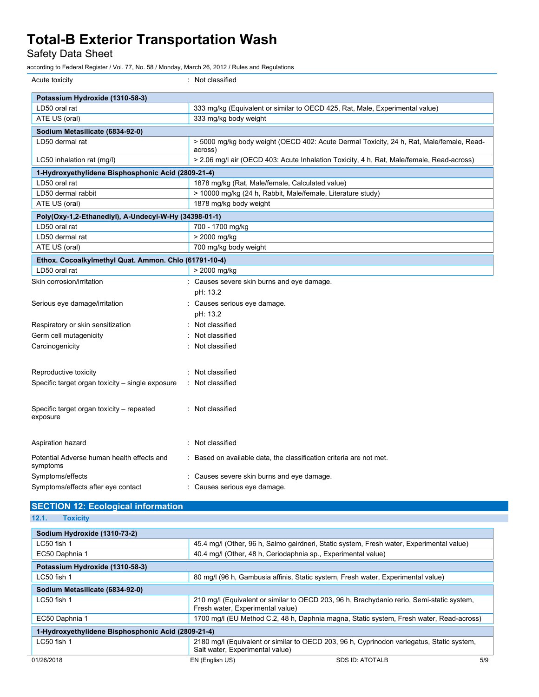Safety Data Sheet

according to Federal Register / Vol. 77, No. 58 / Monday, March 26, 2012 / Rules and Regulations

| Acute toxicity                                         | : Not classified                                                                                    |
|--------------------------------------------------------|-----------------------------------------------------------------------------------------------------|
| Potassium Hydroxide (1310-58-3)                        |                                                                                                     |
| LD50 oral rat                                          | 333 mg/kg (Equivalent or similar to OECD 425, Rat, Male, Experimental value)                        |
| ATE US (oral)                                          | 333 mg/kg body weight                                                                               |
| Sodium Metasilicate (6834-92-0)                        |                                                                                                     |
| LD50 dermal rat                                        | > 5000 mg/kg body weight (OECD 402: Acute Dermal Toxicity, 24 h, Rat, Male/female, Read-<br>across) |
| LC50 inhalation rat (mg/l)                             | > 2.06 mg/l air (OECD 403: Acute Inhalation Toxicity, 4 h, Rat, Male/female, Read-across)           |
| 1-Hydroxyethylidene Bisphosphonic Acid (2809-21-4)     |                                                                                                     |
| LD50 oral rat                                          | 1878 mg/kg (Rat, Male/female, Calculated value)                                                     |
| LD50 dermal rabbit                                     | > 10000 mg/kg (24 h, Rabbit, Male/female, Literature study)                                         |
| ATE US (oral)                                          | 1878 mg/kg body weight                                                                              |
| Poly(Oxy-1,2-Ethanediyl), A-Undecyl-W-Hy (34398-01-1)  |                                                                                                     |
| LD50 oral rat                                          | 700 - 1700 mg/kg                                                                                    |
| LD50 dermal rat                                        | > 2000 mg/kg                                                                                        |
| ATE US (oral)                                          | 700 mg/kg body weight                                                                               |
| Ethox. Cocoalkylmethyl Quat. Ammon. Chlo (61791-10-4)  |                                                                                                     |
| LD50 oral rat                                          | > 2000 mg/kg                                                                                        |
| Skin corrosion/irritation                              | : Causes severe skin burns and eye damage.                                                          |
|                                                        | pH: 13.2                                                                                            |
| Serious eye damage/irritation                          | Causes serious eye damage.                                                                          |
|                                                        | pH: 13.2                                                                                            |
| Respiratory or skin sensitization                      | Not classified                                                                                      |
| Germ cell mutagenicity                                 | Not classified                                                                                      |
| Carcinogenicity                                        | Not classified                                                                                      |
| Reproductive toxicity                                  | Not classified                                                                                      |
| Specific target organ toxicity - single exposure       | Not classified                                                                                      |
| Specific target organ toxicity - repeated<br>exposure  | : Not classified                                                                                    |
| Aspiration hazard                                      | : Not classified                                                                                    |
| Potential Adverse human health effects and<br>symptoms | Based on available data, the classification criteria are not met.                                   |
| Symptoms/effects                                       | : Causes severe skin burns and eye damage.                                                          |
| Symptoms/effects after eye contact                     | Causes serious eye damage.                                                                          |

| <b>SECTION 12: Ecological information</b> |  |
|-------------------------------------------|--|
| 12.1. Toxicity                            |  |

|  |  |  |  | . . |  |
|--|--|--|--|-----|--|
|  |  |  |  |     |  |

| Sodium Hydroxide (1310-73-2)                       |                                                                                                                               |  |  |
|----------------------------------------------------|-------------------------------------------------------------------------------------------------------------------------------|--|--|
| LC50 fish 1                                        | 45.4 mg/l (Other, 96 h, Salmo gairdneri, Static system, Fresh water, Experimental value)                                      |  |  |
| EC50 Daphnia 1                                     | 40.4 mg/l (Other, 48 h, Ceriodaphnia sp., Experimental value)                                                                 |  |  |
| Potassium Hydroxide (1310-58-3)                    |                                                                                                                               |  |  |
| LC50 fish 1                                        | 80 mg/l (96 h, Gambusia affinis, Static system, Fresh water, Experimental value)                                              |  |  |
| Sodium Metasilicate (6834-92-0)                    |                                                                                                                               |  |  |
| $LC50$ fish 1                                      | 210 mg/l (Equivalent or similar to OECD 203, 96 h, Brachydanio rerio, Semi-static system,<br>Fresh water, Experimental value) |  |  |
| EC50 Daphnia 1                                     | 1700 mg/l (EU Method C.2, 48 h, Daphnia magna, Static system, Fresh water, Read-across)                                       |  |  |
| 1-Hydroxyethylidene Bisphosphonic Acid (2809-21-4) |                                                                                                                               |  |  |
| LC50 fish 1                                        | 2180 mg/l (Equivalent or similar to OECD 203, 96 h, Cyprinodon variegatus, Static system,<br>Salt water, Experimental value)  |  |  |
| 01/26/2018                                         | EN (English US)<br>SDS ID: ATOTALB<br>5/9                                                                                     |  |  |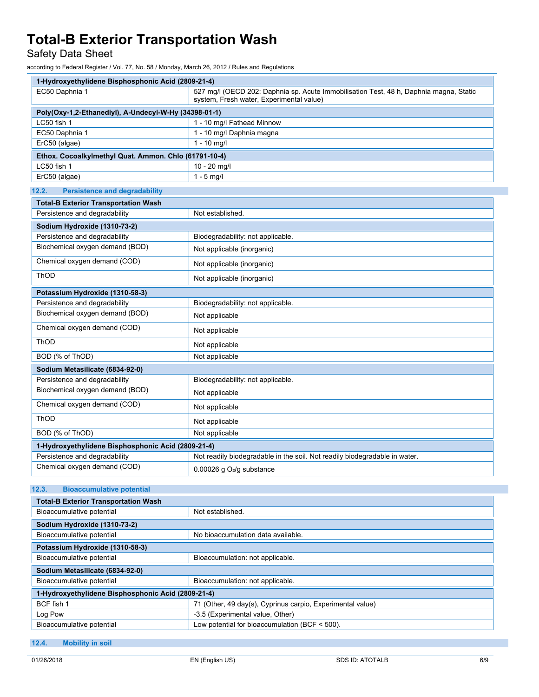Safety Data Sheet

according to Federal Register / Vol. 77, No. 58 / Monday, March 26, 2012 / Rules and Regulations

| 1-Hydroxyethylidene Bisphosphonic Acid (2809-21-4)    |                                                                                                                                    |  |
|-------------------------------------------------------|------------------------------------------------------------------------------------------------------------------------------------|--|
| EC50 Daphnia 1                                        | 527 mg/l (OECD 202: Daphnia sp. Acute Immobilisation Test, 48 h, Daphnia magna, Static<br>system, Fresh water, Experimental value) |  |
| Poly(Oxy-1,2-Ethanediyl), A-Undecyl-W-Hy (34398-01-1) |                                                                                                                                    |  |
| LC50 fish 1                                           | 1 - 10 mg/l Fathead Minnow                                                                                                         |  |
| EC50 Daphnia 1                                        | 1 - 10 mg/l Daphnia magna                                                                                                          |  |
| ErC50 (algae)                                         | $1 - 10$ mg/l                                                                                                                      |  |
| Ethox. Cocoalkylmethyl Quat. Ammon. Chlo (61791-10-4) |                                                                                                                                    |  |
| LC50 fish 1                                           | 10 - 20 mg/l                                                                                                                       |  |
| ErC50 (algae)                                         | $1 - 5$ mg/l                                                                                                                       |  |
| 12.2.<br><b>Persistence and degradability</b>         |                                                                                                                                    |  |
| <b>Total-B Exterior Transportation Wash</b>           |                                                                                                                                    |  |
| Persistence and degradability                         | Not established.                                                                                                                   |  |
| Sodium Hydroxide (1310-73-2)                          |                                                                                                                                    |  |
| Persistence and degradability                         | Biodegradability: not applicable.                                                                                                  |  |
| Biochemical oxygen demand (BOD)                       | Not applicable (inorganic)                                                                                                         |  |
| Chemical oxygen demand (COD)                          | Not applicable (inorganic)                                                                                                         |  |
| ThOD                                                  | Not applicable (inorganic)                                                                                                         |  |
| Potassium Hydroxide (1310-58-3)                       |                                                                                                                                    |  |
| Persistence and degradability                         | Biodegradability: not applicable.                                                                                                  |  |
| Biochemical oxygen demand (BOD)                       | Not applicable                                                                                                                     |  |
| Chemical oxygen demand (COD)                          | Not applicable                                                                                                                     |  |
| <b>ThOD</b>                                           | Not applicable                                                                                                                     |  |
| BOD (% of ThOD)                                       | Not applicable                                                                                                                     |  |
| Sodium Metasilicate (6834-92-0)                       |                                                                                                                                    |  |
| Persistence and degradability                         | Biodegradability: not applicable.                                                                                                  |  |
| Biochemical oxygen demand (BOD)                       | Not applicable                                                                                                                     |  |
| Chemical oxygen demand (COD)                          | Not applicable                                                                                                                     |  |
| ThOD                                                  | Not applicable                                                                                                                     |  |
| BOD (% of ThOD)                                       | Not applicable                                                                                                                     |  |
| 1-Hydroxyethylidene Bisphosphonic Acid (2809-21-4)    |                                                                                                                                    |  |
| Persistence and degradability                         | Not readily biodegradable in the soil. Not readily biodegradable in water.                                                         |  |
| Chemical oxygen demand (COD)                          | 0.00026 g O <sub>2</sub> /g substance                                                                                              |  |
| 12.3.<br><b>Bioaccumulative potential</b>             |                                                                                                                                    |  |

| <b>Total-B Exterior Transportation Wash</b>        |                                                            |  |  |
|----------------------------------------------------|------------------------------------------------------------|--|--|
| Bioaccumulative potential                          | Not established.                                           |  |  |
| Sodium Hydroxide (1310-73-2)                       |                                                            |  |  |
| Bioaccumulative potential                          | No bioaccumulation data available.                         |  |  |
| Potassium Hydroxide (1310-58-3)                    |                                                            |  |  |
| Bioaccumulative potential                          | Bioaccumulation: not applicable.                           |  |  |
| Sodium Metasilicate (6834-92-0)                    |                                                            |  |  |
| Bioaccumulative potential                          | Bioaccumulation: not applicable.                           |  |  |
| 1-Hydroxyethylidene Bisphosphonic Acid (2809-21-4) |                                                            |  |  |
| BCF fish 1                                         | 71 (Other, 49 day(s), Cyprinus carpio, Experimental value) |  |  |
| Log Pow                                            | -3.5 (Experimental value, Other)                           |  |  |
| Bioaccumulative potential                          | Low potential for bioaccumulation (BCF $\leq$ 500).        |  |  |

## **12.4. Mobility in soil**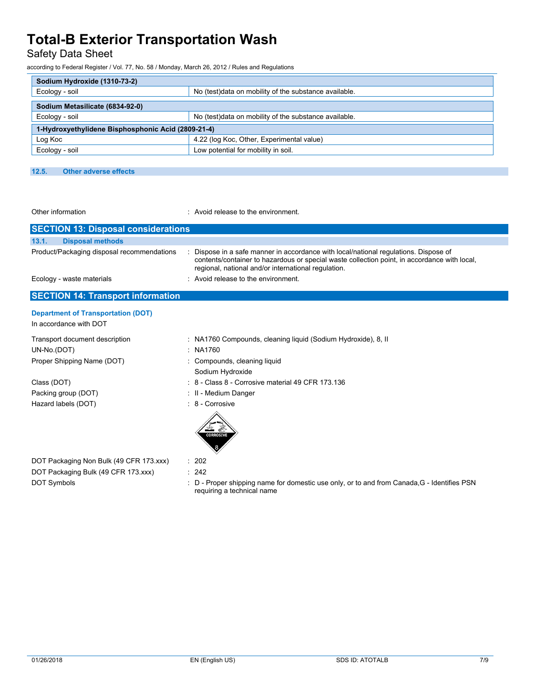Safety Data Sheet

according to Federal Register / Vol. 77, No. 58 / Monday, March 26, 2012 / Rules and Regulations

| Sodium Hydroxide (1310-73-2)                       |                                                        |  |
|----------------------------------------------------|--------------------------------------------------------|--|
| Ecology - soil                                     | No (test) data on mobility of the substance available. |  |
| Sodium Metasilicate (6834-92-0)                    |                                                        |  |
| Ecology - soil                                     | No (test)data on mobility of the substance available.  |  |
| 1-Hydroxyethylidene Bisphosphonic Acid (2809-21-4) |                                                        |  |
| Log Koc                                            | 4.22 (log Koc, Other, Experimental value)              |  |
| Ecology - soil                                     | Low potential for mobility in soil.                    |  |

#### **12.5. Other adverse effects**

Other information **contact to the environment** of the environment.

| <b>SECTION 13: Disposal considerations</b>                          |                                                                                                                                                                                                                                           |  |  |
|---------------------------------------------------------------------|-------------------------------------------------------------------------------------------------------------------------------------------------------------------------------------------------------------------------------------------|--|--|
| 13.1.<br><b>Disposal methods</b>                                    |                                                                                                                                                                                                                                           |  |  |
| Product/Packaging disposal recommendations                          | Dispose in a safe manner in accordance with local/national regulations. Dispose of<br>contents/container to hazardous or special waste collection point, in accordance with local,<br>regional, national and/or international regulation. |  |  |
| Ecology - waste materials                                           | : Avoid release to the environment.                                                                                                                                                                                                       |  |  |
| <b>SECTION 14: Transport information</b>                            |                                                                                                                                                                                                                                           |  |  |
| <b>Department of Transportation (DOT)</b><br>In accordance with DOT |                                                                                                                                                                                                                                           |  |  |
| Transport document description                                      | : NA1760 Compounds, cleaning liquid (Sodium Hydroxide), 8, II                                                                                                                                                                             |  |  |

UN-No.(DOT) : NA1760 Proper Shipping Name (DOT) : Compounds, cleaning liquid

Hazard labels (DOT) : 8 - Corrosive

- Sodium Hydroxide
- Class (DOT) : 8 Class 8 Corrosive material 49 CFR 173.136
- Packing group (DOT) **in the case of the COV**  $\cdot$  II Medium Danger
	-



DOT Packaging Non Bulk (49 CFR 173.xxx) : 202 DOT Packaging Bulk (49 CFR 173.xxx) : 242

DOT Symbols **EXECUTE:** D - Proper shipping name for domestic use only, or to and from Canada,G - Identifies PSN requiring a technical name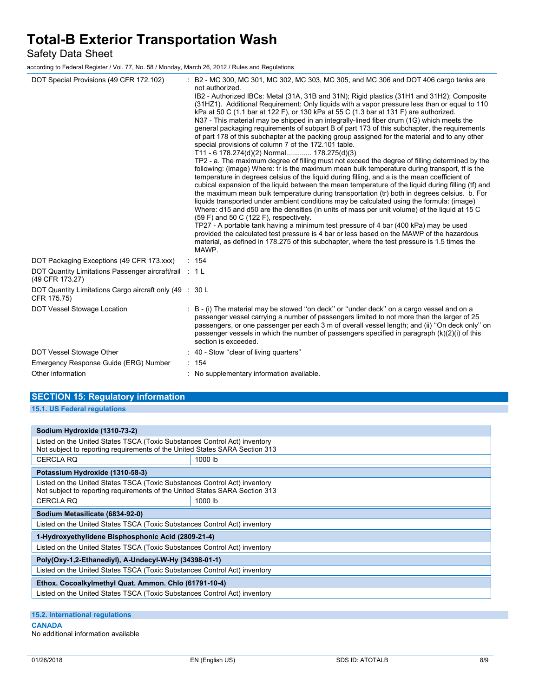Safety Data Sheet

according to Federal Register / Vol. 77, No. 58 / Monday, March 26, 2012 / Rules and Regulations

| DOT Special Provisions (49 CFR 172.102)                                   |  | B2 - MC 300, MC 301, MC 302, MC 303, MC 305, and MC 306 and DOT 406 cargo tanks are<br>not authorized.                                                                                                                                                                                                                                                                                                                                                                                                                                                                                                                                                                                                                                                                                                                                                                                                                                                                                                                                                                                                                                                                                                                                                                                                                                                                                                                                                                                                                                                                                                                                                                                                                                    |
|---------------------------------------------------------------------------|--|-------------------------------------------------------------------------------------------------------------------------------------------------------------------------------------------------------------------------------------------------------------------------------------------------------------------------------------------------------------------------------------------------------------------------------------------------------------------------------------------------------------------------------------------------------------------------------------------------------------------------------------------------------------------------------------------------------------------------------------------------------------------------------------------------------------------------------------------------------------------------------------------------------------------------------------------------------------------------------------------------------------------------------------------------------------------------------------------------------------------------------------------------------------------------------------------------------------------------------------------------------------------------------------------------------------------------------------------------------------------------------------------------------------------------------------------------------------------------------------------------------------------------------------------------------------------------------------------------------------------------------------------------------------------------------------------------------------------------------------------|
|                                                                           |  | IB2 - Authorized IBCs: Metal (31A, 31B and 31N); Rigid plastics (31H1 and 31H2); Composite<br>(31HZ1). Additional Requirement: Only liquids with a vapor pressure less than or equal to 110<br>kPa at 50 C (1.1 bar at 122 F), or 130 kPa at 55 C (1.3 bar at 131 F) are authorized.<br>N37 - This material may be shipped in an integrally-lined fiber drum (1G) which meets the<br>general packaging reguirements of subpart B of part 173 of this subchapter, the reguirements<br>of part 178 of this subchapter at the packing group assigned for the material and to any other<br>special provisions of column 7 of the 172.101 table.<br>T11 - 6 178.274(d)(2) Normal 178.275(d)(3)<br>TP2 - a. The maximum degree of filling must not exceed the degree of filling determined by the<br>following: (image) Where: tr is the maximum mean bulk temperature during transport, tf is the<br>temperature in degrees celsius of the liquid during filling, and a is the mean coefficient of<br>cubical expansion of the liquid between the mean temperature of the liquid during filling (tf) and<br>the maximum mean bulk temperature during transportation (tr) both in degrees celsius. b. For<br>liquids transported under ambient conditions may be calculated using the formula: (image)<br>Where: d15 and d50 are the densities (in units of mass per unit volume) of the liquid at 15 C<br>(59 F) and 50 C (122 F), respectively.<br>TP27 - A portable tank having a minimum test pressure of 4 bar (400 kPa) may be used<br>provided the calculated test pressure is 4 bar or less based on the MAWP of the hazardous<br>material, as defined in 178.275 of this subchapter, where the test pressure is 1.5 times the<br>MAWP. |
| DOT Packaging Exceptions (49 CFR 173.xxx)                                 |  | : 154                                                                                                                                                                                                                                                                                                                                                                                                                                                                                                                                                                                                                                                                                                                                                                                                                                                                                                                                                                                                                                                                                                                                                                                                                                                                                                                                                                                                                                                                                                                                                                                                                                                                                                                                     |
| DOT Quantity Limitations Passenger aircraft/rail : 1 L<br>(49 CFR 173.27) |  |                                                                                                                                                                                                                                                                                                                                                                                                                                                                                                                                                                                                                                                                                                                                                                                                                                                                                                                                                                                                                                                                                                                                                                                                                                                                                                                                                                                                                                                                                                                                                                                                                                                                                                                                           |
| DOT Quantity Limitations Cargo aircraft only (49 : 30 L<br>CFR 175.75)    |  |                                                                                                                                                                                                                                                                                                                                                                                                                                                                                                                                                                                                                                                                                                                                                                                                                                                                                                                                                                                                                                                                                                                                                                                                                                                                                                                                                                                                                                                                                                                                                                                                                                                                                                                                           |
| DOT Vessel Stowage Location                                               |  | B - (i) The material may be stowed "on deck" or "under deck" on a cargo vessel and on a<br>passenger vessel carrying a number of passengers limited to not more than the larger of 25<br>passengers, or one passenger per each 3 m of overall vessel length; and (ii) "On deck only" on<br>passenger vessels in which the number of passengers specified in paragraph $(k)(2)(i)$ of this<br>section is exceeded.                                                                                                                                                                                                                                                                                                                                                                                                                                                                                                                                                                                                                                                                                                                                                                                                                                                                                                                                                                                                                                                                                                                                                                                                                                                                                                                         |
| DOT Vessel Stowage Other                                                  |  | : 40 - Stow "clear of living quarters"                                                                                                                                                                                                                                                                                                                                                                                                                                                                                                                                                                                                                                                                                                                                                                                                                                                                                                                                                                                                                                                                                                                                                                                                                                                                                                                                                                                                                                                                                                                                                                                                                                                                                                    |
| Emergency Response Guide (ERG) Number                                     |  | : 154                                                                                                                                                                                                                                                                                                                                                                                                                                                                                                                                                                                                                                                                                                                                                                                                                                                                                                                                                                                                                                                                                                                                                                                                                                                                                                                                                                                                                                                                                                                                                                                                                                                                                                                                     |
| Other information                                                         |  | : No supplementary information available.                                                                                                                                                                                                                                                                                                                                                                                                                                                                                                                                                                                                                                                                                                                                                                                                                                                                                                                                                                                                                                                                                                                                                                                                                                                                                                                                                                                                                                                                                                                                                                                                                                                                                                 |

| <b>SECTION 15: Regulatory information</b> |  |
|-------------------------------------------|--|
| 15.1. US Federal regulations              |  |

| Sodium Hydroxide (1310-73-2)                                                                                                                             |         |  |
|----------------------------------------------------------------------------------------------------------------------------------------------------------|---------|--|
| Listed on the United States TSCA (Toxic Substances Control Act) inventory<br>Not subject to reporting requirements of the United States SARA Section 313 |         |  |
| <b>CERCLA RQ</b>                                                                                                                                         | 1000 lb |  |
| Potassium Hydroxide (1310-58-3)                                                                                                                          |         |  |
| Listed on the United States TSCA (Toxic Substances Control Act) inventory<br>Not subject to reporting requirements of the United States SARA Section 313 |         |  |
| <b>CERCLA RQ</b>                                                                                                                                         | 1000 lb |  |
| Sodium Metasilicate (6834-92-0)                                                                                                                          |         |  |
| Listed on the United States TSCA (Toxic Substances Control Act) inventory                                                                                |         |  |
| 1-Hydroxyethylidene Bisphosphonic Acid (2809-21-4)                                                                                                       |         |  |
| Listed on the United States TSCA (Toxic Substances Control Act) inventory                                                                                |         |  |
| Poly(Oxy-1,2-Ethanediyl), A-Undecyl-W-Hy (34398-01-1)                                                                                                    |         |  |
| Listed on the United States TSCA (Toxic Substances Control Act) inventory                                                                                |         |  |
| Ethox. Cocoalkylmethyl Quat. Ammon. Chlo (61791-10-4)                                                                                                    |         |  |
| Listed on the United States TSCA (Toxic Substances Control Act) inventory                                                                                |         |  |

**15.2. International regulations**

#### **CANADA**

No additional information available